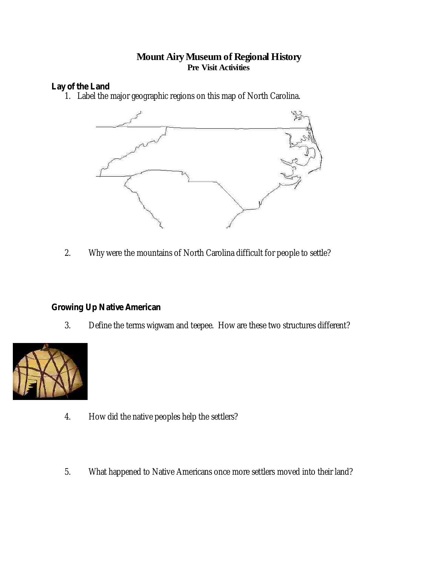## **Mount AiryMuseum of Regional History Pre Visit Activities**

**Lay of the Land**

1. Label the major geographic regions on this map of North Carolina.



2. Why were the mountains of North Carolina difficult for people to settle?

**Growing Up Native American**

3. Define the terms wigwam and teepee. How are these two structures different?



- 4. How did the native peoples help the settlers?
- 5. What happened to Native Americans once more settlers moved into their land?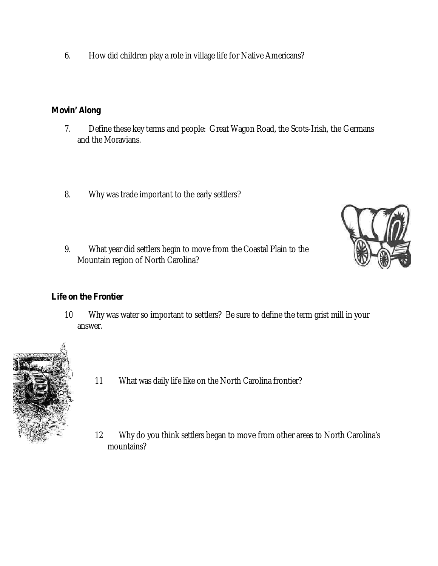6. How did children play a role in village life for Native Americans?

**Movin' Along**

- 7. Define these key terms and people: Great Wagon Road, the Scots-Irish, the Germans and the Moravians.
- 8. Why was trade important to the early settlers?
- 9. What year did settlers begin to move from the Coastal Plain to the Mountain region of North Carolina?



## **Life on the Frontier**

10 Why was water so important to settlers? Be sure to define the term grist mill in your answer.



- 11 What was daily life like on the North Carolina frontier?
- 12 Why do you think settlers began to move from other areas to North Carolina's mountains?